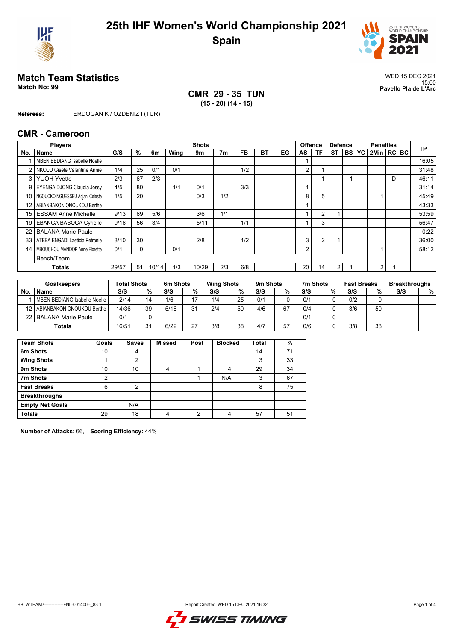



# **Match Team Statistics** WED 15 DEC 2021

15:00 **Match No: 99 Pavello Pla de L'Arc CMR 29 - 35 TUN (15 - 20) (14 - 15)**

**Referees:** ERDOGAN K / OZDENIZ I (TUR)

## **CMR - Cameroon**

| <b>Players</b><br><b>Shots</b> |                                     |       |             |       |      |       |     |     | <b>Defence</b><br>Offence |    |                |                | <b>Penalties</b> |           |    |                | <b>TP</b> |  |       |
|--------------------------------|-------------------------------------|-------|-------------|-------|------|-------|-----|-----|---------------------------|----|----------------|----------------|------------------|-----------|----|----------------|-----------|--|-------|
| No.                            | Name                                | G/S   | %           | 6m    | Wing | 9m    | 7m  | FB  | BT                        | EG | AS             | TF             | ST               | <b>BS</b> | YC | 2Min   RC   BC |           |  |       |
|                                | <b>MBEN BEDIANG Isabelle Noelle</b> |       |             |       |      |       |     |     |                           |    |                |                |                  |           |    |                |           |  | 16:05 |
| 2                              | NKOLO Gisele Valentine Annie        | 1/4   | 25          | 0/1   | 0/1  |       |     | 1/2 |                           |    | $\overline{2}$ |                |                  |           |    |                |           |  | 31:48 |
| 3                              | <b>YUOH Yvette</b>                  | 2/3   | 67          | 2/3   |      |       |     |     |                           |    |                |                |                  |           |    |                | D         |  | 46:11 |
| 9                              | <b>EYENGA DJONG Claudia Jossy</b>   | 4/5   | 80          |       | 1/1  | 0/1   |     | 3/3 |                           |    |                |                |                  |           |    |                |           |  | 31:14 |
| 10                             | NGOUOKO NGUESSEU Adjani Celeste     | 1/5   | 20          |       |      | 0/3   | 1/2 |     |                           |    | 8              | 5              |                  |           |    |                |           |  | 45:49 |
| 12 <sup>2</sup>                | ABIANBAKON ONOUKOU Berthe           |       |             |       |      |       |     |     |                           |    |                |                |                  |           |    |                |           |  | 43:33 |
| 15                             | <b>ESSAM Anne Michelle</b>          | 9/13  | 69          | 5/6   |      | 3/6   | 1/1 |     |                           |    |                | 2              |                  |           |    |                |           |  | 53:59 |
| 19                             | <b>EBANGA BABOGA Cyrielle</b>       | 9/16  | 56          | 3/4   |      | 5/11  |     | 1/1 |                           |    |                | 3              |                  |           |    |                |           |  | 56:47 |
| 22                             | <b>BALANA Marie Paule</b>           |       |             |       |      |       |     |     |                           |    |                |                |                  |           |    |                |           |  | 0:22  |
| 33 <sup>1</sup>                | ATEBA ENGADI Laeticia Petronie      | 3/10  | 30          |       |      | 2/8   |     | 1/2 |                           |    | 3              | $\overline{2}$ |                  |           |    |                |           |  | 36:00 |
| 44                             | MBOUCHOU MANDOP Anne Florette       | 0/1   | $\mathbf 0$ |       | 0/1  |       |     |     |                           |    | 2              |                |                  |           |    |                |           |  | 58:12 |
|                                | Bench/Team                          |       |             |       |      |       |     |     |                           |    |                |                |                  |           |    |                |           |  |       |
|                                | <b>Totals</b>                       | 29/57 | 51          | 10/14 | 1/3  | 10/29 | 2/3 | 6/8 |                           |    | 20             | 14             | 2                |           |    | $\overline{2}$ |           |  |       |
|                                |                                     |       |             |       |      |       |     |     |                           |    |                |                |                  |           |    |                |           |  |       |

|                 | <b>Goalkeepers</b>             | <b>Total Shots</b> |    | 6m Shots |      | <b>Wing Shots</b> |                 | 9m Shots |    | 7m Shots |   | <b>Fast Breaks</b> |    | <b>Breakthroughs</b> |   |
|-----------------|--------------------------------|--------------------|----|----------|------|-------------------|-----------------|----------|----|----------|---|--------------------|----|----------------------|---|
| No              | <b>Name</b>                    | S/S                | %  | S/S      | $\%$ | S/S               | %.              | S/S      | %  | S/S      | % | S/S                | %  | S/S                  | % |
|                 | I MBEN BEDIANG Isabelle Noelle | 2/14               | 14 | 1/6      | 17   | 1/4               | 25              | 0/1      |    | 0/1      | C | 0/2                |    |                      |   |
| 12 <sub>1</sub> | ABIANBAKON ONOUKOU Berthe      | 14/36              | 39 | 5/16     | 31   | 2/4               | 50 <sub>1</sub> | 4/6      | 67 | 0/4      |   | 3/6                | 50 |                      |   |
|                 | 22   BALANA Marie Paule        | 0/1                |    |          |      |                   |                 |          |    | 0/1      |   |                    |    |                      |   |
|                 | Totals                         | 16/51              | 31 | 6/22     | -27  | 3/8               | 38              | 4/7      | 57 | 0/6      |   | 3/8                | 38 |                      |   |

| <b>Team Shots</b>      | Goals | <b>Saves</b> | <b>Missed</b> | Post | <b>Blocked</b> | <b>Total</b> | %  |
|------------------------|-------|--------------|---------------|------|----------------|--------------|----|
| 6m Shots               | 10    | 4            |               |      |                | 14           | 71 |
| <b>Wing Shots</b>      |       | 2            |               |      |                | 3            | 33 |
| 9m Shots               | 10    | 10           | 4             |      | 4              | 29           | 34 |
| 7m Shots               | 2     |              |               |      | N/A            | 3            | 67 |
| <b>Fast Breaks</b>     | 6     | 2            |               |      |                | 8            | 75 |
| <b>Breakthroughs</b>   |       |              |               |      |                |              |    |
| <b>Empty Net Goals</b> |       | N/A          |               |      |                |              |    |
| <b>Totals</b>          | 29    | 18           | 4             | C    | 4              | 57           | 51 |

**Number of Attacks:** 66, **Scoring Efficiency:** 44%

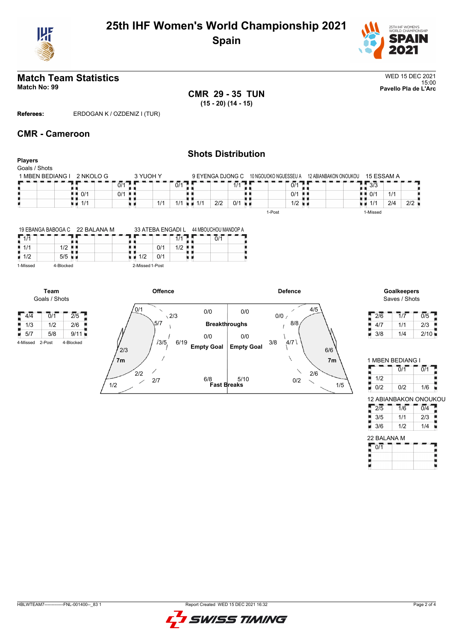



#### **Match Team Statistics** WED 15 DEC 2021 15:00 **Match No: 99 Pavello Pla de L'Arc**

**CMR 29 - 35 TUN (15 - 20) (14 - 15)**

**Referees:** ERDOGAN K / OZDENIZ I (TUR)

## **CMR - Cameroon**

#### **Shots Distribution Players** Goals / Shots 1 MBEN BEDIANG I 2 NKOLO G 3 YUOH Y 9 EYENGA DJONG C 10 NGOUOKO NGUESSEU A 12 ABIANBAKON ONOUKOU 15 ESSAM A 7 E  $0/1$  $|0/1$  $1/1$  $\sqrt{0/1}$ 3/3 F ٠ h н. н  $0/1$   $\blacksquare$  $\blacksquare$  0/1 | 0/1  $\blacksquare$  0/1 | 1/1  $\frac{1}{1/2}$  $1/1$  $1/1$   $\frac{1}{2}$   $1/1$   $2/2$   $0/1$   $\frac{1}{2}$ 1/1 υø  $1/1$  2/4 2/2 1-Post 1-Missed

| 19 EBANGA BABOGA C 22 BALANA M |                      |  | 33 ATEBA ENGADI L |     | 44 MBOUCHOU MANDOP A |  |  |  |  |
|--------------------------------|----------------------|--|-------------------|-----|----------------------|--|--|--|--|
|                                |                      |  |                   |     |                      |  |  |  |  |
|                                |                      |  |                   | 0/1 |                      |  |  |  |  |
| 1/2                            | $5/5$ $\blacksquare$ |  | 1/2               | 0/1 |                      |  |  |  |  |
| 1-Missed                       | 4-Blocked            |  | 2-Missed 1-Post   |     |                      |  |  |  |  |

**Offence Defence Goalkeepers**  $\sqrt{0/1}$ 4/5 0/0 0/0  $\sqrt{2/3}$  $0/0 /$  $18/8$  $5/7$ **Breakthroughs**  $\overline{1}$ 0/0 0/0  $\overline{\phantom{a}}$  $3/8$   $4/7$ 3/5 6/19 **Empty Goal Empty Goal**  $'2/3$ 6/6 **7m 7m**  $2/2$ 2/6 6/8 5/10 2/7 0/2 **Fast Breaks** 1/2 1/5

Saves / Shots

| 2/6 |     | 0/5  |
|-----|-----|------|
| 417 | 1/1 | 2/3  |
| 3/8 | 1/4 | 2/10 |

| 1 MBEN BEDIANG I             |     |     |  |
|------------------------------|-----|-----|--|
|                              | 0/1 | 0/1 |  |
| 1/2                          |     |     |  |
| 0/2                          | 0/2 | 1/6 |  |
| <b>12 ABIANBAKON ONOUKOU</b> |     |     |  |
| 2/5                          | 1/6 | 1/4 |  |
|                              |     |     |  |

| 3/5         | 1/1 | 2/3 |  |  |  |  |  |  |  |  |  |
|-------------|-----|-----|--|--|--|--|--|--|--|--|--|
| 3/6         | 1/2 | 1/4 |  |  |  |  |  |  |  |  |  |
| 22 BALANA M |     |     |  |  |  |  |  |  |  |  |  |
| 0/1         |     |     |  |  |  |  |  |  |  |  |  |
|             |     |     |  |  |  |  |  |  |  |  |  |
|             |     |     |  |  |  |  |  |  |  |  |  |

2-Missed 1-Post **Team** Goals / Shots ŗ

 $4/4$  0/1  $2/5$  $1/3$   $1/2$   $2/6$  $5/7$   $5/8$   $9/11$ 4-Missed 2-Post 4-Blocked

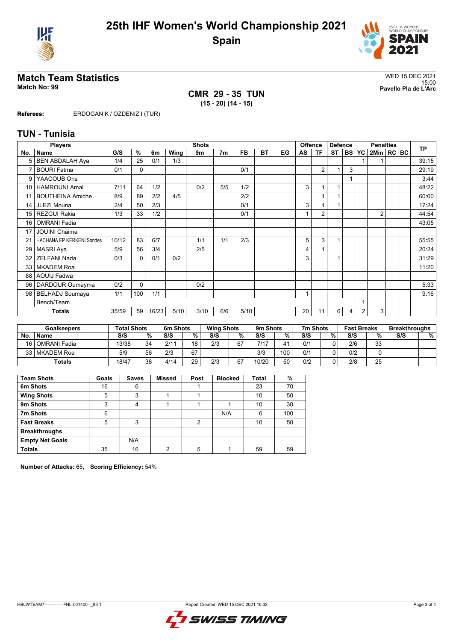



## **Match Team Statistics** WED 15 DEC 2021 15:00 **Match No: 99 Pavello Pla de L'Arc**

**CMR 29 - 35 TUN (15 - 20) (14 - 15)**

**Referees:** ERDOGAN K / OZDENIZ I (TUR)

## **TUN - Tunisia**

|     | <b>Players</b><br><b>Shots</b> |       |          |       |      |      |                |      |    | <b>Offence</b> | <b>Defence</b> |                |                | <b>TP</b> |                |                  |  |       |
|-----|--------------------------------|-------|----------|-------|------|------|----------------|------|----|----------------|----------------|----------------|----------------|-----------|----------------|------------------|--|-------|
| No. | Name                           | G/S   | %        | 6m    | Wing | 9m   | 7 <sub>m</sub> | FB   | ВT | EG             | AS             | ΤF             | <b>ST</b>      | BS.       | <b>YC</b>      | $2$ Min $ RC BC$ |  |       |
|     | <b>BEN ABDALAH Aya</b>         | 1/4   | 25       | 0/1   | 1/3  |      |                |      |    |                |                |                |                |           |                |                  |  | 39:15 |
| 7   | <b>BOURI Fatma</b>             | 0/1   | 0        |       |      |      |                | 0/1  |    |                |                | $\overline{2}$ | 1              | 3         |                |                  |  | 29:19 |
| 9   | YAACOUB Ons                    |       |          |       |      |      |                |      |    |                |                |                |                |           |                |                  |  | 3:44  |
| 10  | <b>HAMROUNI Amal</b>           | 7/11  | 64       | 1/2   |      | 0/2  | 5/5            | 1/2  |    |                | 3              |                | 1              |           |                |                  |  | 48:22 |
| 11  | <b>BOUTHEINA Amiche</b>        | 8/9   | 89       | 2/2   | 4/5  |      |                | 2/2  |    |                |                |                |                |           |                |                  |  | 60:00 |
| 14  | JLEZI Mouna                    | 2/4   | 50       | 2/3   |      |      |                | 0/1  |    |                | 3              |                |                |           |                |                  |  | 17:24 |
| 15  | <b>REZGUI Rakia</b>            | 1/3   | 33       | 1/2   |      |      |                | 0/1  |    |                |                | $\overline{2}$ |                |           |                | $\overline{2}$   |  | 44:54 |
| 16  | <b>OMRANI Fadia</b>            |       |          |       |      |      |                |      |    |                |                |                |                |           |                |                  |  | 43:05 |
| 17  | <b>JOUINI Chaima</b>           |       |          |       |      |      |                |      |    |                |                |                |                |           |                |                  |  |       |
| 21  | HACHANA EP KERKENI Sondes      | 10/12 | 83       | 6/7   |      | 1/1  | 1/1            | 2/3  |    |                | 5              | 3              | $\overline{1}$ |           |                |                  |  | 55:55 |
| 29  | <b>MASRI Aya</b>               | 5/9   | 56       | 3/4   |      | 2/5  |                |      |    |                | 4              |                |                |           |                |                  |  | 20:24 |
| 32  | <b>ZELFANI Nada</b>            | 0/3   | $\Omega$ | 0/1   | 0/2  |      |                |      |    |                | 3              |                | 1              |           |                |                  |  | 31:29 |
| 33  | <b>MKADEM Roa</b>              |       |          |       |      |      |                |      |    |                |                |                |                |           |                |                  |  | 11:20 |
| 88  | <b>AOUIJ Fadwa</b>             |       |          |       |      |      |                |      |    |                |                |                |                |           |                |                  |  |       |
| 96  | DARDOUR Oumayma                | 0/2   | $\Omega$ |       |      | 0/2  |                |      |    |                |                |                |                |           |                |                  |  | 5:33  |
| 98  | <b>BELHADJ Soumaya</b>         | 1/1   | 100      | 1/1   |      |      |                |      |    |                |                |                |                |           |                |                  |  | 9:16  |
|     | Bench/Team                     |       |          |       |      |      |                |      |    |                |                |                |                |           |                |                  |  |       |
|     | <b>Totals</b>                  | 35/59 | 59       | 16/23 | 5/10 | 3/10 | 6/6            | 5/10 |    |                | 20             | 11             | 6              | 4         | $\overline{2}$ | 3                |  |       |

|                 | <b>Goalkeepers</b> | <b>Total Shots</b> |    | 6m Shots |    | <b>Wing Shots</b> |    | 9m Shots |     | 7m Shots |   | <b>Fast Breaks</b> |    | <b>Breakthroughs</b> |   |
|-----------------|--------------------|--------------------|----|----------|----|-------------------|----|----------|-----|----------|---|--------------------|----|----------------------|---|
| No.             | <b>Name</b>        | S/S                | %  | S/S      | %  | S/S               | %. | S/S      | %   | S/S      | % | S/S                | %  | S/S                  | % |
| 16 <sup>1</sup> | l OMRANI Fadia     | 13/38              | 34 | 2/11     | 18 | 2/3               | 67 | 7/17     | 41  | 0/1      |   | 2/6                | 33 |                      |   |
| 33              | l MKADEM Roa       | 5/9                | 56 | 2/3      | 67 |                   |    | 3/3      | 100 | 0/1      |   | 0/2                |    |                      |   |
|                 | Totals             | 18/47              | 38 | 4/14     | 29 | 2/3               | 67 | 10/20    | 50  | 0/2      |   | 2/8                | 25 |                      |   |

| <b>Team Shots</b>      | Goals | <b>Saves</b> | <b>Missed</b> | Post | <b>Blocked</b> | <b>Total</b> | %   |
|------------------------|-------|--------------|---------------|------|----------------|--------------|-----|
| 6m Shots               | 16    | 6            |               |      |                | 23           | 70  |
| <b>Wing Shots</b>      | 5     | 3            |               |      |                | 10           | 50  |
| 9m Shots               | 3     | 4            |               |      |                | 10           | 30  |
| 7m Shots               | 6     |              |               |      | N/A            | 6            | 100 |
| <b>Fast Breaks</b>     | 5     | 3            |               | 2    |                | 10           | 50  |
| <b>Breakthroughs</b>   |       |              |               |      |                |              |     |
| <b>Empty Net Goals</b> |       | N/A          |               |      |                |              |     |
| <b>Totals</b>          | 35    | 16           | $\mathcal{P}$ | 5    |                | 59           | 59  |

**Number of Attacks:** 65, **Scoring Efficiency:** 54%